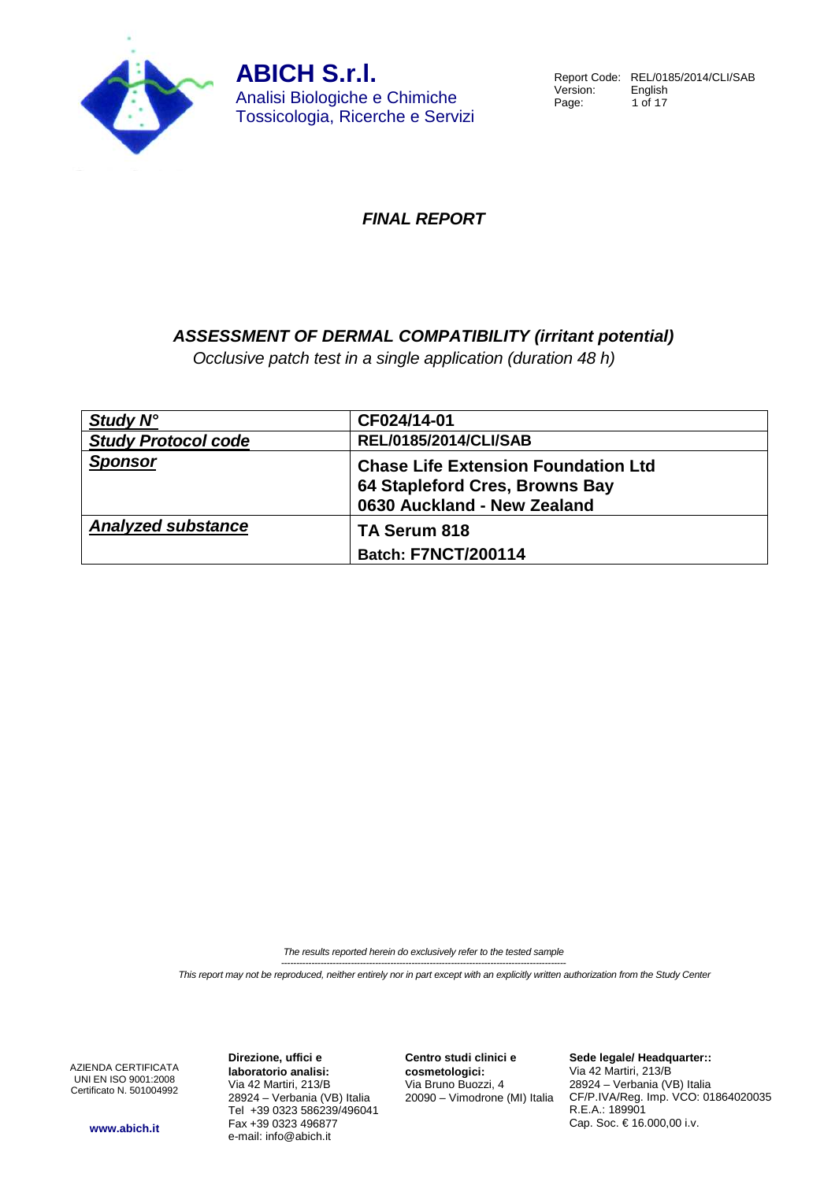

Report Code: REL/0185/2014/CLI/SAB<br>Version: English Version:<br>Page:  $1$  of  $17$ 

## **FINAL REPORT**

## **ASSESSMENT OF DERMAL COMPATIBILITY (irritant potential)**

Occlusive patch test in a single application (duration 48 h)

| Study N°                   | CF024/14-01                                                                                                 |
|----------------------------|-------------------------------------------------------------------------------------------------------------|
| <b>Study Protocol code</b> | <b>REL/0185/2014/CLI/SAB</b>                                                                                |
| <b>Sponsor</b>             | <b>Chase Life Extension Foundation Ltd</b><br>64 Stapleford Cres, Browns Bay<br>0630 Auckland - New Zealand |
| <b>Analyzed substance</b>  | TA Serum 818<br><b>Batch: F7NCT/200114</b>                                                                  |
|                            |                                                                                                             |

The results reported herein do exclusively refer to the tested sample ----------------------------------------------------------------------------------------------

This report may not be reproduced, neither entirely nor in part except with an explicitly written authorization from the Study Center

AZIENDA CERTIFICATA UNI EN ISO 9001:2008 Certificato N. 501004992

**Direzione, uffici e laboratorio analisi:** Via 42 Martiri, 213/B 28924 – Verbania (VB) Italia Tel +39 0323 586239/496041 Fax +39 0323 496877 e-mail: info@abich.it

**Centro studi clinici e cosmetologici:** Via Bruno Buozzi, 4 20090 – Vimodrone (MI) Italia **Sede legale/ Headquarter::** Via 42 Martiri, 213/B 28924 – Verbania (VB) Italia CF/P.IVA/Reg. Imp. VCO: 01864020035 R.E.A.: 189901 Cap. Soc. € 16.000,00 i.v.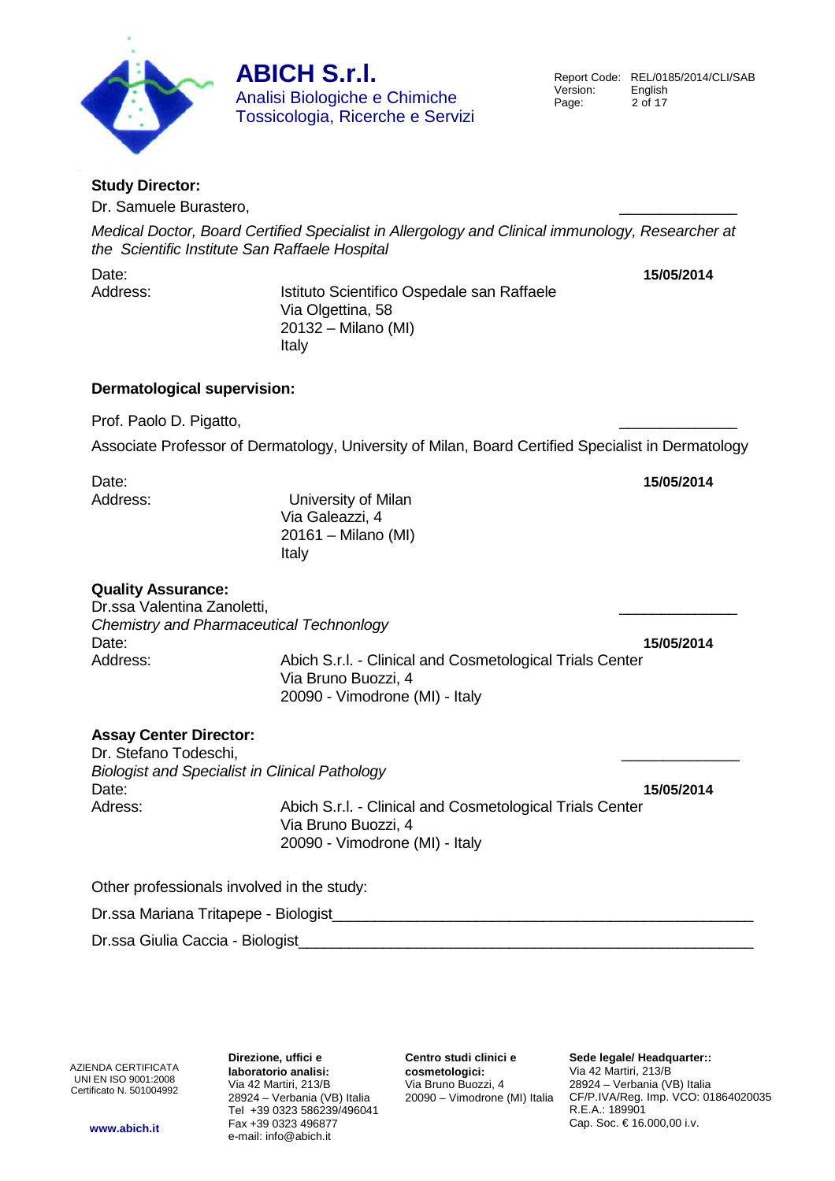

Report Code: REL/0185/2014/CLI/SAB<br>Version: English Version:<br>Page:  $2$  of  $17$ 

## **Study Director:**

Dr. Samuele Burastero,

Medical Doctor, Board Certified Specialist in Allergology and Clinical immunology, Researcher at the Scientific Institute San Raffaele Hospital

Date: **15/05/2014**

Address: Istituto Scientifico Ospedale san Raffaele Via Olgettina, 58 20132 – Milano (MI) Italy

## **Dermatological supervision:**

Prof. Paolo D. Pigatto,

Associate Professor of Dermatology, University of Milan, Board Certified Specialist in Dermatology

| Date:<br>Address:                                                                                                    | University of Milan<br>Via Galeazzi, 4<br>20161 - Milano (MI)<br>Italy                                            | 15/05/2014 |
|----------------------------------------------------------------------------------------------------------------------|-------------------------------------------------------------------------------------------------------------------|------------|
| <b>Quality Assurance:</b><br>Dr.ssa Valentina Zanoletti,<br><b>Chemistry and Pharmaceutical Technonlogy</b><br>Date: |                                                                                                                   | 15/05/2014 |
| Address:                                                                                                             | Abich S.r.l. - Clinical and Cosmetological Trials Center<br>Via Bruno Buozzi, 4<br>20090 - Vimodrone (MI) - Italy |            |
| <b>Assay Center Director:</b><br>Dr. Stefano Todeschi,<br><b>Biologist and Specialist in Clinical Pathology</b>      |                                                                                                                   |            |
| Date:<br>Adress:                                                                                                     | Abich S.r.l. - Clinical and Cosmetological Trials Center<br>Via Bruno Buozzi, 4<br>20090 - Vimodrone (MI) - Italy | 15/05/2014 |
| Other professionals involved in the study:                                                                           |                                                                                                                   |            |

Dr.ssa Mariana Tritapepe - Biologist\_\_\_\_\_\_\_\_\_\_\_\_\_\_\_\_\_\_\_\_\_\_\_\_\_\_\_\_\_\_\_\_\_\_\_\_\_\_\_\_\_\_\_\_\_\_\_\_\_\_

Dr.ssa Giulia Caccia - Biologist\_\_\_\_\_\_\_\_\_\_\_\_\_\_\_\_\_\_\_\_\_\_\_\_\_\_\_\_\_\_\_\_\_\_\_\_\_\_\_\_\_\_\_\_\_\_\_\_\_\_\_\_\_\_

AZIENDA CERTIFICATA UNI EN ISO 9001:2008 Certificato N. 501004992

**Direzione, uffici e laboratorio analisi:** Via 42 Martiri, 213/B 28924 – Verbania (VB) Italia Tel +39 0323 586239/496041 Fax +39 0323 496877 e-mail: info@abich.it

**Centro studi clinici e cosmetologici:** Via Bruno Buozzi, 4 20090 – Vimodrone (MI) Italia

**Sede legale/ Headquarter::** Via 42 Martiri, 213/B 28924 – Verbania (VB) Italia CF/P.IVA/Reg. Imp. VCO: 01864020035 R.E.A.: 189901 Cap. Soc. € 16.000,00 i.v.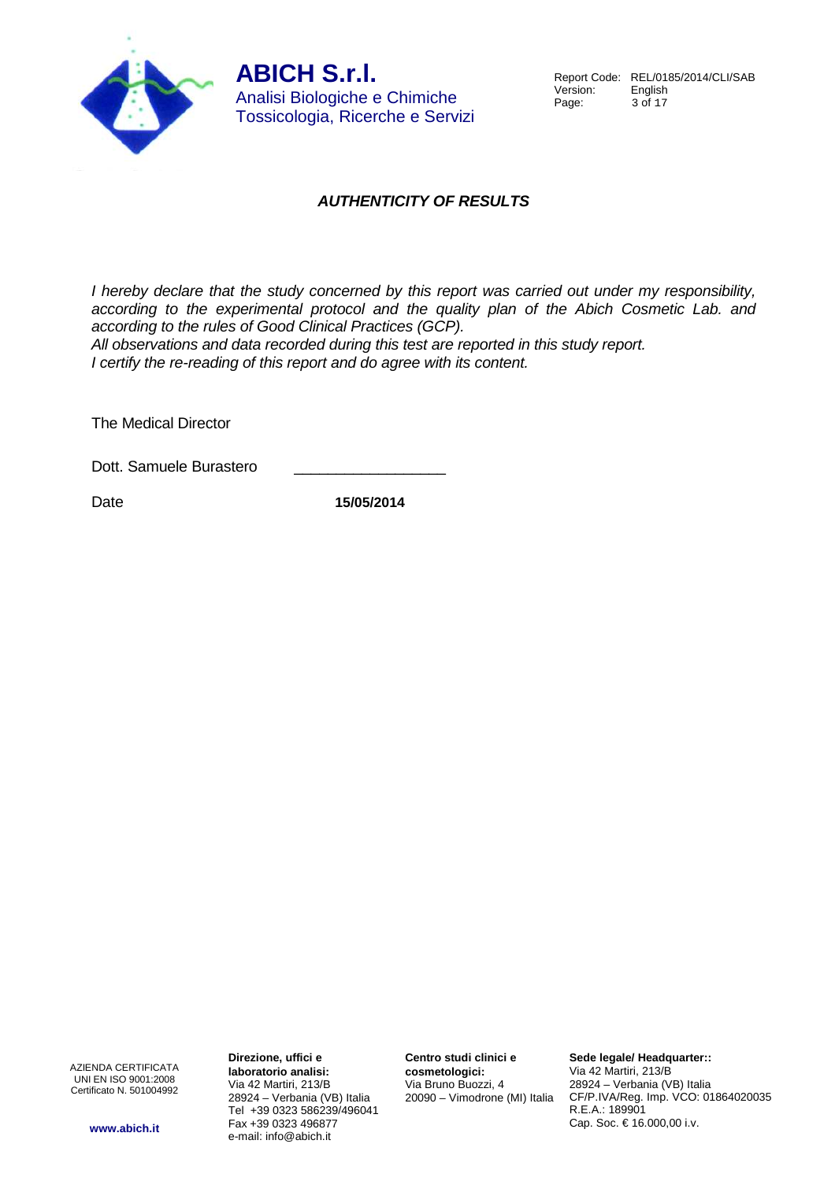

## **AUTHENTICITY OF RESULTS**

I hereby declare that the study concerned by this report was carried out under my responsibility, according to the experimental protocol and the quality plan of the Abich Cosmetic Lab. and according to the rules of Good Clinical Practices (GCP).

All observations and data recorded during this test are reported in this study report. I certify the re-reading of this report and do agree with its content.

The Medical Director

Dott. Samuele Burastero

Date **15/05/2014**

AZIENDA CERTIFICATA UNI EN ISO 9001:2008 Certificato N. 501004992

**www.abich.it**

**Direzione, uffici e laboratorio analisi:** Via 42 Martiri, 213/B 28924 – Verbania (VB) Italia Tel +39 0323 586239/496041 Fax +39 0323 496877 e-mail: info@abich.it

**Centro studi clinici e cosmetologici:** Via Bruno Buozzi, 4 20090 – Vimodrone (MI) Italia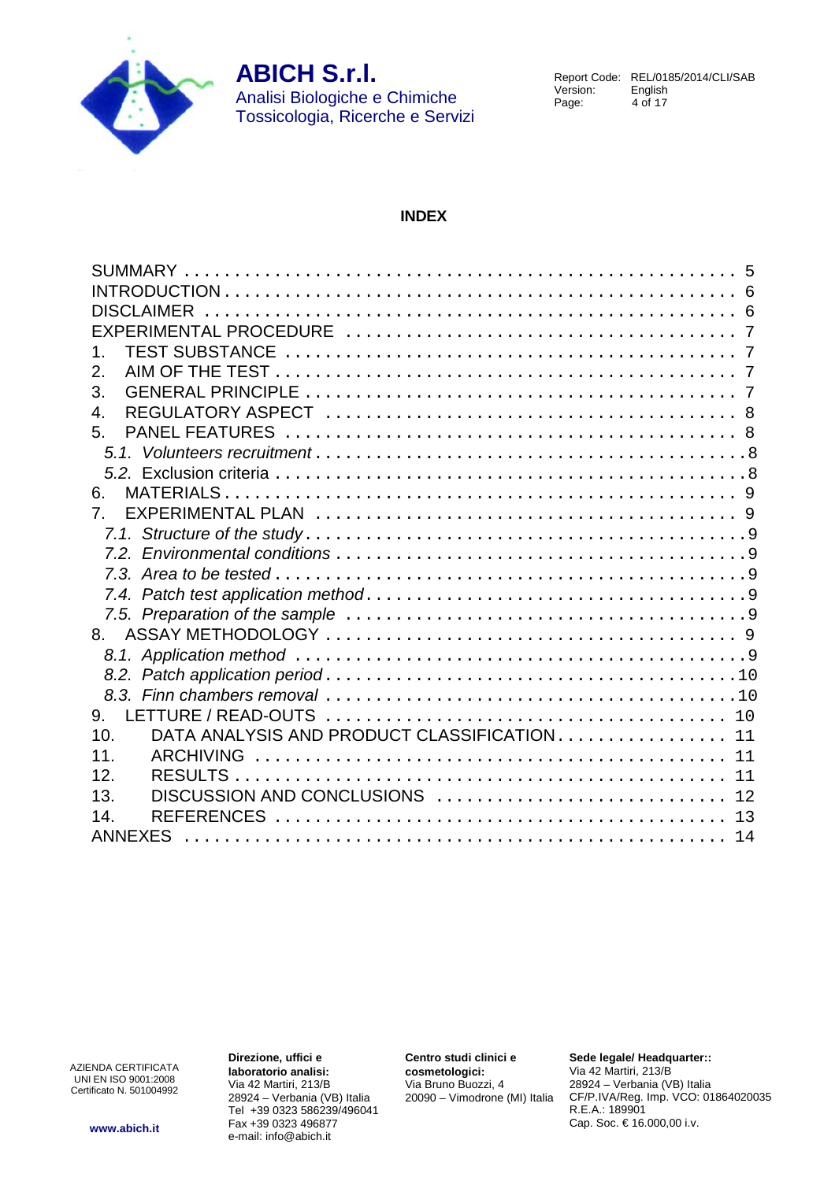

Report Code: REL/0185/2014/CLI/SAB<br>Version: English Version:<br>Page:  $4$  of 17

### **INDEX**

| 1.                                                 |
|----------------------------------------------------|
| 2.                                                 |
| 3.                                                 |
| 4.                                                 |
| 5.                                                 |
|                                                    |
|                                                    |
| 6.                                                 |
| 7 <sub>1</sub>                                     |
|                                                    |
|                                                    |
|                                                    |
|                                                    |
|                                                    |
| 8.                                                 |
|                                                    |
|                                                    |
|                                                    |
|                                                    |
| 9.                                                 |
| DATA ANALYSIS AND PRODUCT CLASSIFICATION 11<br>10. |
| 11.                                                |
| 12.                                                |
| DISCUSSION AND CONCLUSIONS  12<br>13.              |
| 14.                                                |
| <b>ANNEXES</b>                                     |

AZIENDA CERTIFICATA UNI EN ISO 9001:2008 Certificato N. 501004992 **Direzione, uffici e laboratorio analisi:** Via 42 Martiri, 213/B 28924 – Verbania (VB) Italia Tel +39 0323 586239/496041 Fax +39 0323 496877 e-mail: info@abich.it

**Centro studi clinici e cosmetologici:** Via Bruno Buozzi, 4 20090 – Vimodrone (MI) Italia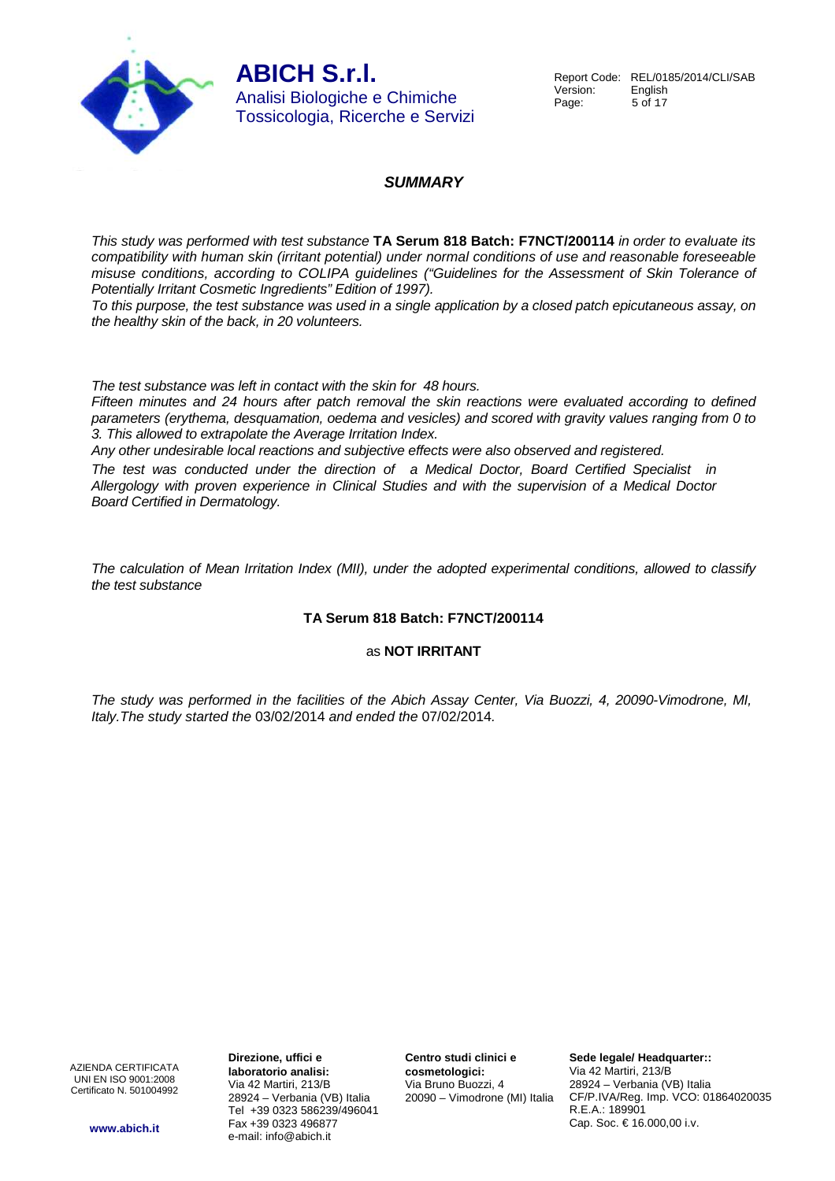**ABICH S.r.l.** Analisi Biologiche e Chimiche

Tossicologia, Ricerche e Servizi

## **SUMMARY**

This study was performed with test substance **TA Serum 818 Batch: F7NCT/200114** in order to evaluate its compatibility with human skin (irritant potential) under normal conditions of use and reasonable foreseeable misuse conditions, according to COLIPA guidelines ("Guidelines for the Assessment of Skin Tolerance of Potentially Irritant Cosmetic Ingredients" Edition of 1997).

To this purpose, the test substance was used in a single application by a closed patch epicutaneous assay, on the healthy skin of the back, in 20 volunteers.

The test substance was left in contact with the skin for 48 hours.

Fifteen minutes and 24 hours after patch removal the skin reactions were evaluated according to defined parameters (erythema, desquamation, oedema and vesicles) and scored with gravity values ranging from 0 to 3. This allowed to extrapolate the Average Irritation Index.

Any other undesirable local reactions and subjective effects were also observed and registered.

The test was conducted under the direction of a Medical Doctor, Board Certified Specialist in Allergology with proven experience in Clinical Studies and with the supervision of a Medical Doctor Board Certified in Dermatology.

The calculation of Mean Irritation Index (MII), under the adopted experimental conditions, allowed to classify the test substance

## **TA Serum 818 Batch: F7NCT/200114**

#### as **NOT IRRITANT**

The study was performed in the facilities of the Abich Assay Center, Via Buozzi, 4, 20090-Vimodrone, MI, Italy.The study started the 03/02/2014 and ended the 07/02/2014.

AZIENDA CERTIFICATA UNI EN ISO 9001:2008 Certificato N. 501004992 **Direzione, uffici e laboratorio analisi:** Via 42 Martiri, 213/B 28924 – Verbania (VB) Italia Tel +39 0323 586239/496041 Fax +39 0323 496877 e-mail: info@abich.it

**Centro studi clinici e cosmetologici:** Via Bruno Buozzi, 4 20090 – Vimodrone (MI) Italia

**Sede legale/ Headquarter::** Via 42 Martiri, 213/B 28924 – Verbania (VB) Italia CF/P.IVA/Reg. Imp. VCO: 01864020035 R.E.A.: 189901 Cap. Soc. € 16.000,00 i.v.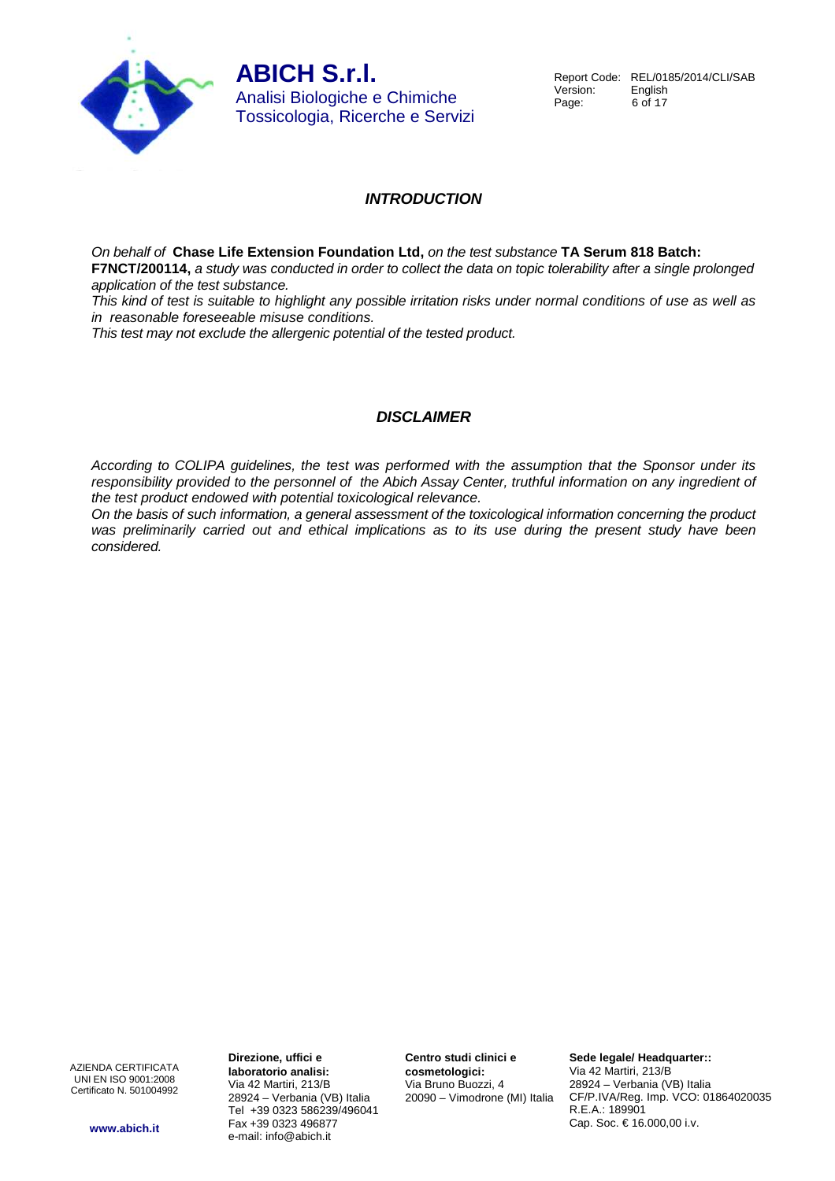

## **INTRODUCTION**

On behalf of **Chase Life Extension Foundation Ltd,** on the test substance **TA Serum 818 Batch:** 

**F7NCT/200114,** a study was conducted in order to collect the data on topic tolerability after a single prolonged application of the test substance.

This kind of test is suitable to highlight any possible irritation risks under normal conditions of use as well as in reasonable foreseeable misuse conditions.

This test may not exclude the allergenic potential of the tested product.

## **DISCLAIMER**

According to COLIPA guidelines, the test was performed with the assumption that the Sponsor under its responsibility provided to the personnel of the Abich Assay Center, truthful information on any ingredient of the test product endowed with potential toxicological relevance.

On the basis of such information, a general assessment of the toxicological information concerning the product was preliminarily carried out and ethical implications as to its use during the present study have been considered.

AZIENDA CERTIFICATA UNI EN ISO 9001:2008 Certificato N. 501004992

**www.abich.it**

**Direzione, uffici e laboratorio analisi:** Via 42 Martiri, 213/B 28924 – Verbania (VB) Italia Tel +39 0323 586239/496041 Fax +39 0323 496877 e-mail: info@abich.it

**Centro studi clinici e cosmetologici:** Via Bruno Buozzi, 4 20090 – Vimodrone (MI) Italia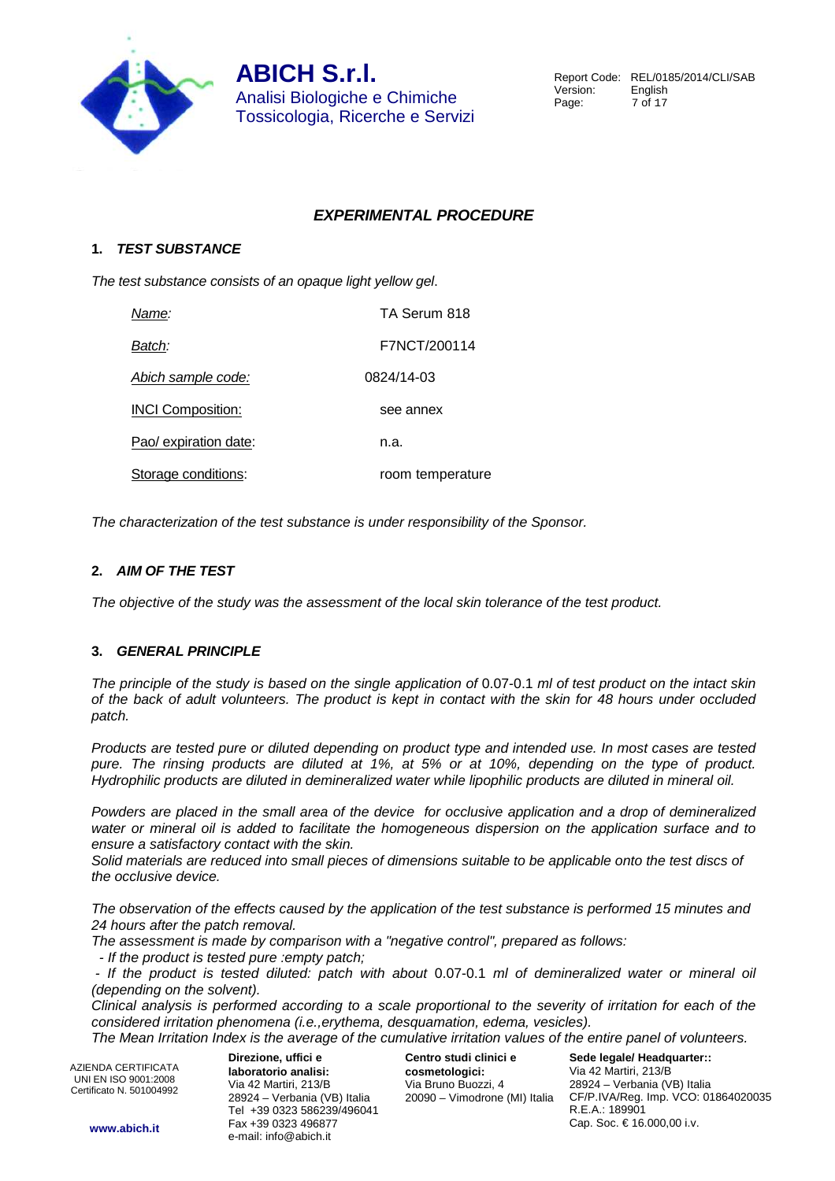

## **EXPERIMENTAL PROCEDURE**

#### **1. TEST SUBSTANCE**

The test substance consists of an opaque light yellow gel.

| Name:                     | TA Serum 818     |
|---------------------------|------------------|
| Batch:                    | F7NCT/200114     |
| <u>Abich sample code:</u> | 0824/14-03       |
| <b>INCI Composition:</b>  | see annex        |
| Pao/ expiration date:     | n.a.             |
| Storage conditions:       | room temperature |

The characterization of the test substance is under responsibility of the Sponsor.

#### **2. AIM OF THE TEST**

The objective of the study was the assessment of the local skin tolerance of the test product.

#### **3. GENERAL PRINCIPLE**

The principle of the study is based on the single application of 0.07-0.1 ml of test product on the intact skin of the back of adult volunteers. The product is kept in contact with the skin for 48 hours under occluded patch.

Products are tested pure or diluted depending on product type and intended use. In most cases are tested pure. The rinsing products are diluted at 1%, at 5% or at 10%, depending on the type of product. Hydrophilic products are diluted in demineralized water while lipophilic products are diluted in mineral oil.

Powders are placed in the small area of the device for occlusive application and a drop of demineralized water or mineral oil is added to facilitate the homogeneous dispersion on the application surface and to ensure a satisfactory contact with the skin.

Solid materials are reduced into small pieces of dimensions suitable to be applicable onto the test discs of the occlusive device.

The observation of the effects caused by the application of the test substance is performed 15 minutes and 24 hours after the patch removal.

The assessment is made by comparison with a "negative control", prepared as follows:

- If the product is tested pure :empty patch;

 - If the product is tested diluted: patch with about 0.07-0.1 ml of demineralized water or mineral oil (depending on the solvent).

Clinical analysis is performed according to a scale proportional to the severity of irritation for each of the considered irritation phenomena (i.e.,erythema, desquamation, edema, vesicles).

The Mean Irritation Index is the average of the cumulative irritation values of the entire panel of volunteers.

AZIENDA CERTIFICATA UNI EN ISO 9001:2008 Certificato N. 501004992

**Direzione, uffici e laboratorio analisi:** Via 42 Martiri, 213/B 28924 – Verbania (VB) Italia Tel +39 0323 586239/496041 Fax +39 0323 496877 e-mail: info@abich.it

**Centro studi clinici e cosmetologici:** Via Bruno Buozzi, 4 20090 – Vimodrone (MI) Italia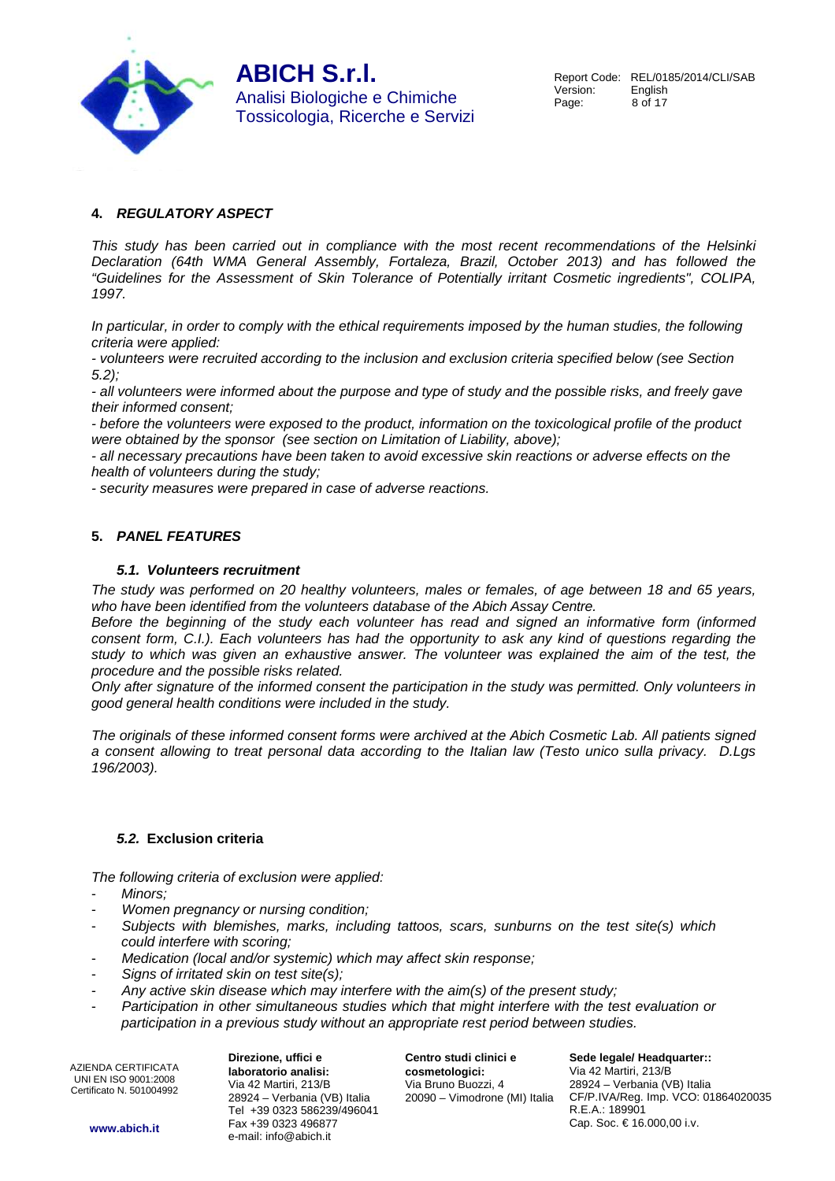

## **4. REGULATORY ASPECT**

This study has been carried out in compliance with the most recent recommendations of the Helsinki Declaration (64th WMA General Assembly, Fortaleza, Brazil, October 2013) and has followed the "Guidelines for the Assessment of Skin Tolerance of Potentially irritant Cosmetic ingredients", COLIPA, 1997.

In particular, in order to comply with the ethical requirements imposed by the human studies, the following criteria were applied:

- volunteers were recruited according to the inclusion and exclusion criteria specified below (see Section 5.2);

- all volunteers were informed about the purpose and type of study and the possible risks, and freely gave their informed consent;

- before the volunteers were exposed to the product, information on the toxicological profile of the product were obtained by the sponsor (see section on Limitation of Liability, above);

- all necessary precautions have been taken to avoid excessive skin reactions or adverse effects on the health of volunteers during the study;

- security measures were prepared in case of adverse reactions.

#### **5. PANEL FEATURES**

#### **5.1. Volunteers recruitment**

The study was performed on 20 healthy volunteers, males or females, of age between 18 and 65 years, who have been identified from the volunteers database of the Abich Assay Centre.

Before the beginning of the study each volunteer has read and signed an informative form (informed consent form, C.I.). Each volunteers has had the opportunity to ask any kind of questions regarding the study to which was given an exhaustive answer. The volunteer was explained the aim of the test, the procedure and the possible risks related.

Only after signature of the informed consent the participation in the study was permitted. Only volunteers in good general health conditions were included in the study.

The originals of these informed consent forms were archived at the Abich Cosmetic Lab. All patients signed a consent allowing to treat personal data according to the Italian law (Testo unico sulla privacy. D.Lgs 196/2003).

#### **5.2. Exclusion criteria**

The following criteria of exclusion were applied:

- Minors:
- Women pregnancy or nursing condition;
- Subjects with blemishes, marks, including tattoos, scars, sunburns on the test site(s) which could interfere with scoring;
- Medication (local and/or systemic) which may affect skin response;
- Signs of irritated skin on test site $(s)$ ;
- Any active skin disease which may interfere with the aim(s) of the present study;
- Participation in other simultaneous studies which that might interfere with the test evaluation or participation in a previous study without an appropriate rest period between studies.

AZIENDA CERTIFICATA UNI EN ISO 9001:2008 Certificato N. 501004992

**Direzione, uffici e laboratorio analisi:** Via 42 Martiri, 213/B 28924 – Verbania (VB) Italia Tel +39 0323 586239/496041 Fax +39 0323 496877 e-mail: info@abich.it

**Centro studi clinici e cosmetologici:** Via Bruno Buozzi, 4 20090 – Vimodrone (MI) Italia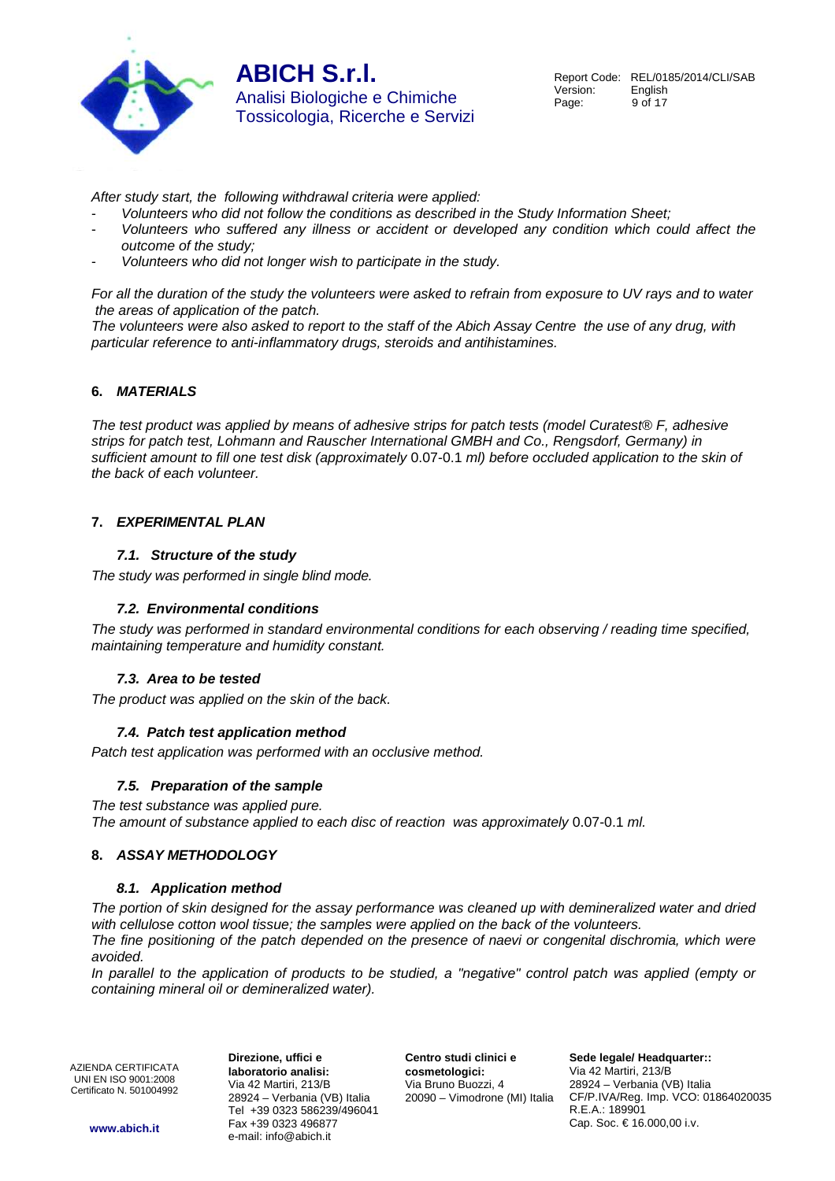

Report Code: REL/0185/2014/CLI/SAB<br>Version: English Version: Page: 9 of 17

After study start, the following withdrawal criteria were applied:

- Volunteers who did not follow the conditions as described in the Study Information Sheet;
- Volunteers who suffered any illness or accident or developed any condition which could affect the outcome of the study;
- Volunteers who did not longer wish to participate in the study.

For all the duration of the study the volunteers were asked to refrain from exposure to UV rays and to water the areas of application of the patch.

The volunteers were also asked to report to the staff of the Abich Assay Centre the use of any drug, with particular reference to anti-inflammatory drugs, steroids and antihistamines.

#### **6. MATERIALS**

The test product was applied by means of adhesive strips for patch tests (model Curatest® F, adhesive strips for patch test, Lohmann and Rauscher International GMBH and Co., Rengsdorf, Germany) in sufficient amount to fill one test disk (approximately 0.07-0.1 ml) before occluded application to the skin of the back of each volunteer.

#### **7. EXPERIMENTAL PLAN**

#### **7.1. Structure of the study**

The study was performed in single blind mode.

#### **7.2. Environmental conditions**

The study was performed in standard environmental conditions for each observing / reading time specified, maintaining temperature and humidity constant.

#### **7.3. Area to be tested**

The product was applied on the skin of the back.

#### **7.4. Patch test application method**

Patch test application was performed with an occlusive method.

#### **7.5. Preparation of the sample**

The test substance was applied pure. The amount of substance applied to each disc of reaction was approximately 0.07-0.1 ml.

#### **8. ASSAY METHODOLOGY**

#### **8.1. Application method**

The portion of skin designed for the assay performance was cleaned up with demineralized water and dried with cellulose cotton wool tissue; the samples were applied on the back of the volunteers.

The fine positioning of the patch depended on the presence of naevi or congenital dischromia, which were avoided.

In parallel to the application of products to be studied, a "negative" control patch was applied (empty or containing mineral oil or demineralized water).

AZIENDA CERTIFICATA UNI EN ISO 9001:2008 Certificato N. 501004992

**Direzione, uffici e laboratorio analisi:** Via 42 Martiri, 213/B 28924 – Verbania (VB) Italia Tel +39 0323 586239/496041 Fax +39 0323 496877 e-mail: info@abich.it

**Centro studi clinici e cosmetologici:** Via Bruno Buozzi, 4 20090 – Vimodrone (MI) Italia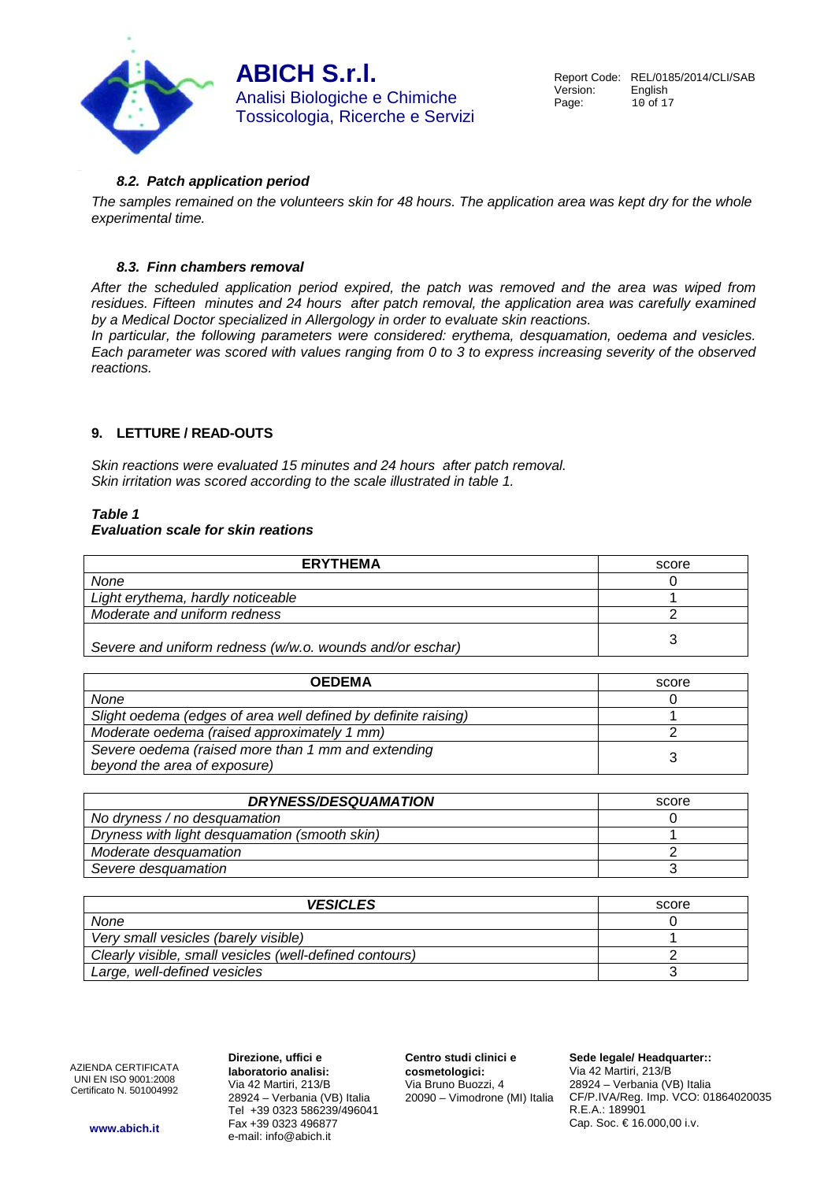

#### **8.2. Patch application period**

The samples remained on the volunteers skin for 48 hours. The application area was kept dry for the whole experimental time.

#### **8.3. Finn chambers removal**

After the scheduled application period expired, the patch was removed and the area was wiped from residues. Fifteen minutes and 24 hours after patch removal, the application area was carefully examined by a Medical Doctor specialized in Allergology in order to evaluate skin reactions.

In particular, the following parameters were considered: erythema, desquamation, oedema and vesicles. Each parameter was scored with values ranging from 0 to 3 to express increasing severity of the observed reactions.

#### **9. LETTURE / READ-OUTS**

Skin reactions were evaluated 15 minutes and 24 hours after patch removal. Skin irritation was scored according to the scale illustrated in table 1.

#### **Table 1**

#### **Evaluation scale for skin reations**

| <b>ERYTHEMA</b>                                          | score |
|----------------------------------------------------------|-------|
| None                                                     |       |
| Light erythema, hardly noticeable                        |       |
| Moderate and uniform redness                             |       |
| Severe and uniform redness (w/w.o. wounds and/or eschar) |       |

| <b>OEDEMA</b>                                                  | score |
|----------------------------------------------------------------|-------|
| None                                                           |       |
| Slight oedema (edges of area well defined by definite raising) |       |
| Moderate oedema (raised approximately 1 mm)                    |       |
| Severe oedema (raised more than 1 mm and extending             |       |
| beyond the area of exposure)                                   |       |

| <b>DRYNESS/DESQUAMATION</b>                   | score |
|-----------------------------------------------|-------|
| No dryness / no desquamation                  |       |
| Dryness with light desquamation (smooth skin) |       |
| Moderate desquamation                         |       |
| Severe desquamation                           |       |

| <b>VESICLES</b>                                         | score |
|---------------------------------------------------------|-------|
| None                                                    |       |
| Very small vesicles (barely visible)                    |       |
| Clearly visible, small vesicles (well-defined contours) |       |
| Large, well-defined vesicles                            |       |

AZIENDA CERTIFICATA UNI EN ISO 9001:2008 Certificato N. 501004992

**Direzione, uffici e laboratorio analisi:** Via 42 Martiri, 213/B 28924 – Verbania (VB) Italia Tel +39 0323 586239/496041 Fax +39 0323 496877 e-mail: info@abich.it

**Centro studi clinici e cosmetologici:** Via Bruno Buozzi, 4 20090 – Vimodrone (MI) Italia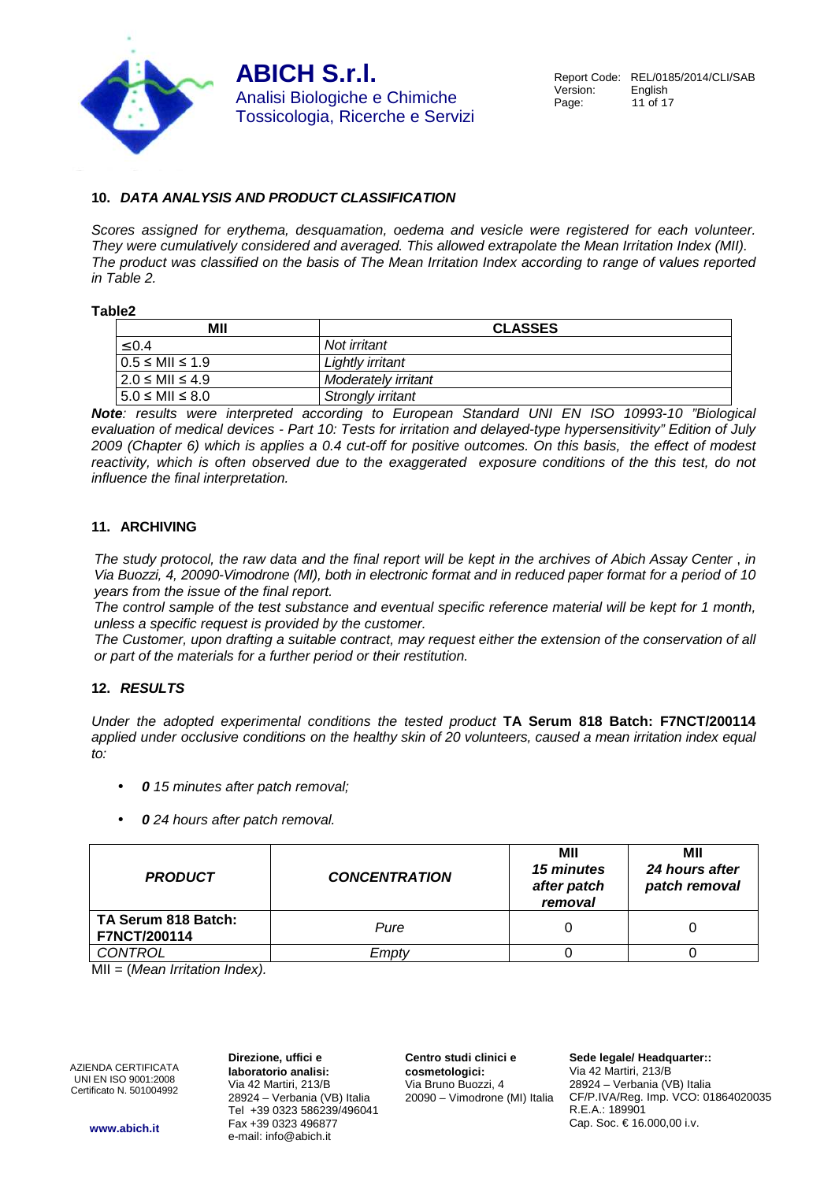

#### **10. DATA ANALYSIS AND PRODUCT CLASSIFICATION**

Scores assigned for erythema, desquamation, oedema and vesicle were registered for each volunteer. They were cumulatively considered and averaged. This allowed extrapolate the Mean Irritation Index (MII). The product was classified on the basis of The Mean Irritation Index according to range of values reported in Table 2.

**Table2**

| МII                      | <b>CLASSES</b>      |  |
|--------------------------|---------------------|--|
| $\leq 0.4$               | Not irritant        |  |
| $0.5 \leq MII \leq 1.9$  | Lightly irritant    |  |
| $2.0 \leq MII \leq 4.9$  | Moderately irritant |  |
| $15.0 \leq MII \leq 8.0$ | Strongly irritant   |  |

**Note**: results were interpreted according to European Standard UNI EN ISO 10993-10 "Biological evaluation of medical devices - Part 10: Tests for irritation and delayed-type hypersensitivity" Edition of July 2009 (Chapter 6) which is applies a 0.4 cut-off for positive outcomes. On this basis, the effect of modest reactivity, which is often observed due to the exaggerated exposure conditions of the this test, do not influence the final interpretation.

#### **11. ARCHIVING**

The study protocol, the raw data and the final report will be kept in the archives of Abich Assay Center , in Via Buozzi, 4, 20090-Vimodrone (MI), both in electronic format and in reduced paper format for a period of 10 years from the issue of the final report.

The control sample of the test substance and eventual specific reference material will be kept for 1 month, unless a specific request is provided by the customer.

The Customer, upon drafting a suitable contract, may request either the extension of the conservation of all or part of the materials for a further period or their restitution.

#### **12. RESULTS**

Under the adopted experimental conditions the tested product **TA Serum 818 Batch: F7NCT/200114**  applied under occlusive conditions on the healthy skin of 20 volunteers, caused a mean irritation index equal  $t^{\circ}$ 

- **0** 15 minutes after patch removal;
- **0** 24 hours after patch removal.

| <b>CONCENTRATION</b><br><b>PRODUCT</b>     |      | МII<br>15 minutes<br>after patch<br>removal | МII<br>24 hours after<br>patch removal |  |
|--------------------------------------------|------|---------------------------------------------|----------------------------------------|--|
| TA Serum 818 Batch:<br><b>F7NCT/200114</b> | Pure |                                             |                                        |  |
| CONTROL<br>Emptv                           |      |                                             |                                        |  |

 $MII = (Mean Irritation Index).$ 

AZIENDA CERTIFICATA UNI EN ISO 9001:2008 Certificato N. 501004992

**Direzione, uffici e laboratorio analisi:** Via 42 Martiri, 213/B 28924 – Verbania (VB) Italia Tel +39 0323 586239/496041 Fax +39 0323 496877 e-mail: info@abich.it

**Centro studi clinici e cosmetologici:** Via Bruno Buozzi, 4 20090 – Vimodrone (MI) Italia

**Sede legale/ Headquarter::** Via 42 Martiri, 213/B 28924 – Verbania (VB) Italia CF/P.IVA/Reg. Imp. VCO: 01864020035 R.E.A.: 189901 Cap. Soc. € 16.000,00 i.v.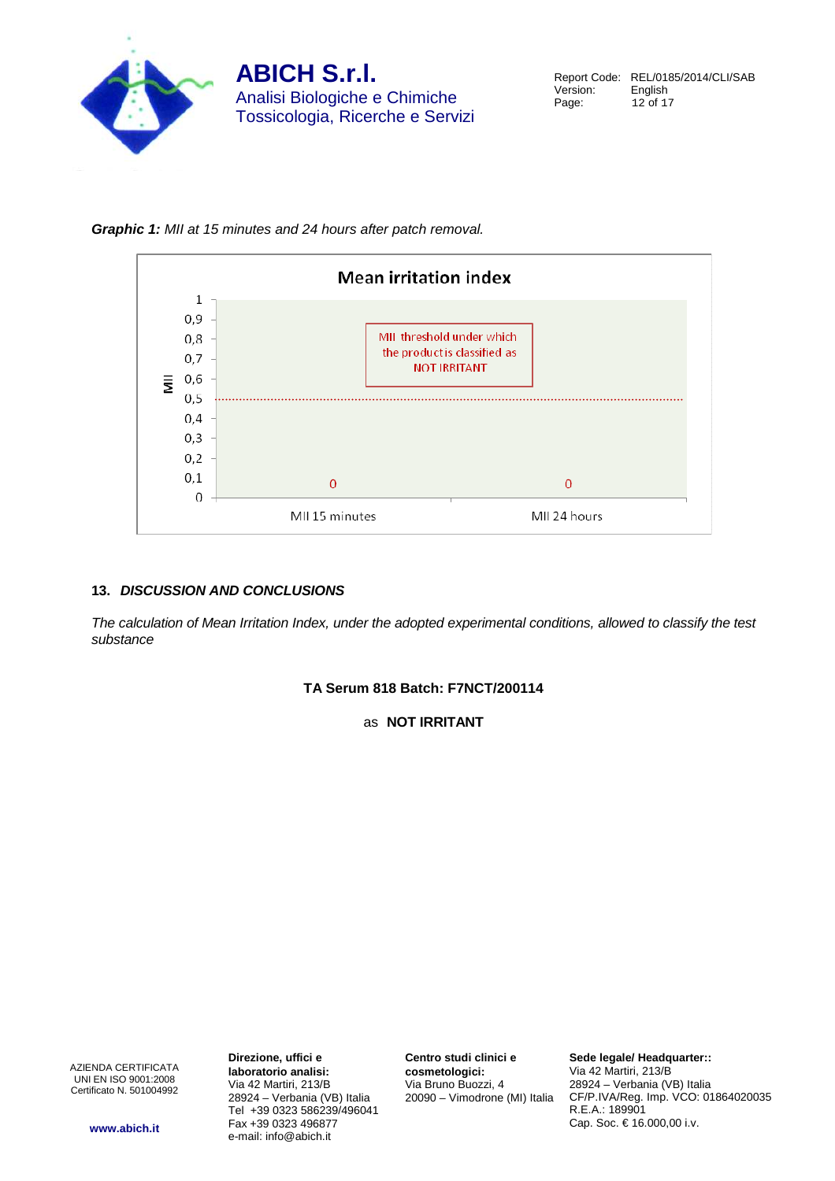

**Graphic 1:** MII at 15 minutes and 24 hours after patch removal.



#### **13. DISCUSSION AND CONCLUSIONS**

The calculation of Mean Irritation Index, under the adopted experimental conditions, allowed to classify the test substance

**TA Serum 818 Batch: F7NCT/200114** 

as **NOT IRRITANT** 

AZIENDA CERTIFICATA UNI EN ISO 9001:2008 Certificato N. 501004992

**Direzione, uffici e laboratorio analisi:** Via 42 Martiri, 213/B 28924 – Verbania (VB) Italia Tel +39 0323 586239/496041 Fax +39 0323 496877 e-mail: info@abich.it

**Centro studi clinici e cosmetologici:** Via Bruno Buozzi, 4 20090 – Vimodrone (MI) Italia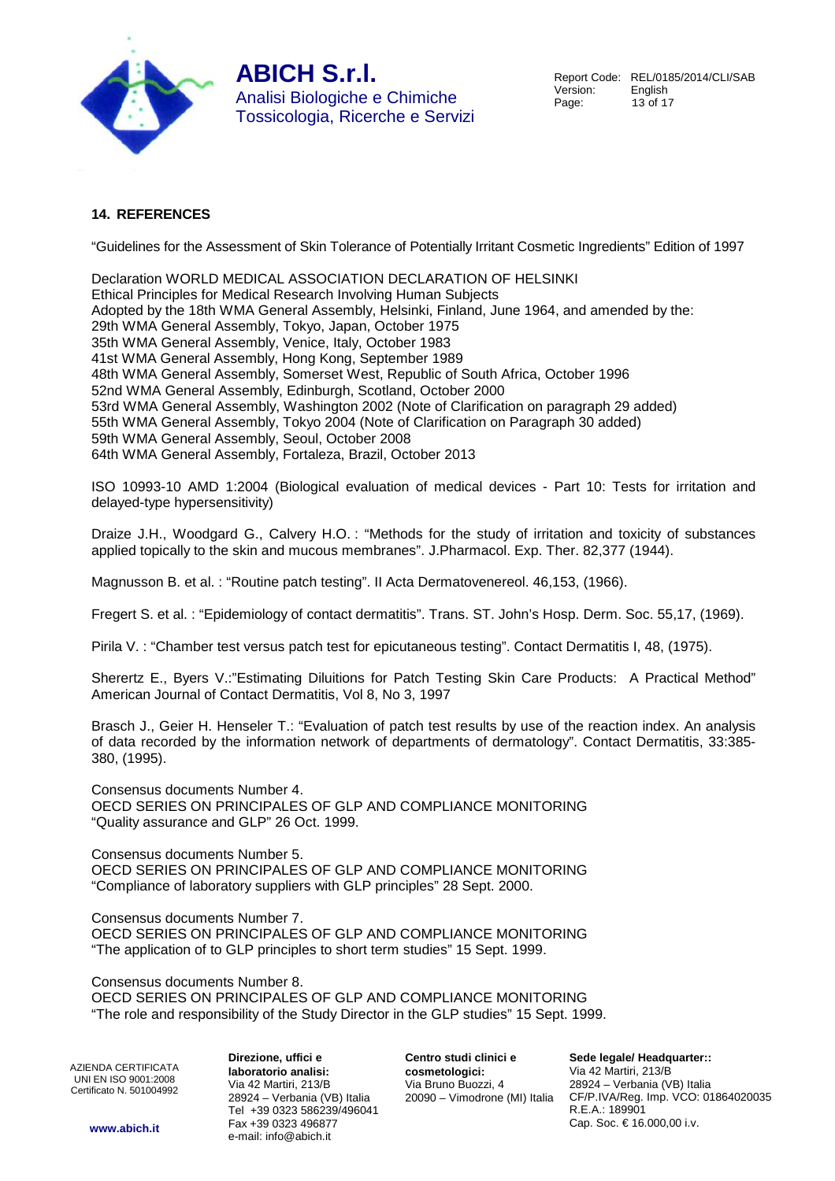

## **14. REFERENCES**

"Guidelines for the Assessment of Skin Tolerance of Potentially Irritant Cosmetic Ingredients" Edition of 1997

Declaration WORLD MEDICAL ASSOCIATION DECLARATION OF HELSINKI Ethical Principles for Medical Research Involving Human Subjects Adopted by the 18th WMA General Assembly, Helsinki, Finland, June 1964, and amended by the: 29th WMA General Assembly, Tokyo, Japan, October 1975 35th WMA General Assembly, Venice, Italy, October 1983 41st WMA General Assembly, Hong Kong, September 1989 48th WMA General Assembly, Somerset West, Republic of South Africa, October 1996 52nd WMA General Assembly, Edinburgh, Scotland, October 2000 53rd WMA General Assembly, Washington 2002 (Note of Clarification on paragraph 29 added) 55th WMA General Assembly, Tokyo 2004 (Note of Clarification on Paragraph 30 added) 59th WMA General Assembly, Seoul, October 2008 64th WMA General Assembly, Fortaleza, Brazil, October 2013

ISO 10993-10 AMD 1:2004 (Biological evaluation of medical devices - Part 10: Tests for irritation and delayed-type hypersensitivity)

Draize J.H., Woodgard G., Calvery H.O. : "Methods for the study of irritation and toxicity of substances applied topically to the skin and mucous membranes". J.Pharmacol. Exp. Ther. 82,377 (1944).

Magnusson B. et al. : "Routine patch testing". II Acta Dermatovenereol. 46,153, (1966).

Fregert S. et al. : "Epidemiology of contact dermatitis". Trans. ST. John's Hosp. Derm. Soc. 55,17, (1969).

Pirila V. : "Chamber test versus patch test for epicutaneous testing". Contact Dermatitis I, 48, (1975).

Sherertz E., Byers V.:"Estimating Diluitions for Patch Testing Skin Care Products: A Practical Method" American Journal of Contact Dermatitis, Vol 8, No 3, 1997

Brasch J., Geier H. Henseler T.: "Evaluation of patch test results by use of the reaction index. An analysis of data recorded by the information network of departments of dermatology". Contact Dermatitis, 33:385- 380, (1995).

Consensus documents Number 4. OECD SERIES ON PRINCIPALES OF GLP AND COMPLIANCE MONITORING "Quality assurance and GLP" 26 Oct. 1999.

Consensus documents Number 5. OECD SERIES ON PRINCIPALES OF GLP AND COMPLIANCE MONITORING "Compliance of laboratory suppliers with GLP principles" 28 Sept. 2000.

Consensus documents Number 7.

OECD SERIES ON PRINCIPALES OF GLP AND COMPLIANCE MONITORING "The application of to GLP principles to short term studies" 15 Sept. 1999.

Consensus documents Number 8. OECD SERIES ON PRINCIPALES OF GLP AND COMPLIANCE MONITORING "The role and responsibility of the Study Director in the GLP studies" 15 Sept. 1999.

AZIENDA CERTIFICATA UNI EN ISO 9001:2008 Certificato N. 501004992

**Direzione, uffici e laboratorio analisi:** Via 42 Martiri, 213/B 28924 – Verbania (VB) Italia Tel +39 0323 586239/496041 Fax +39 0323 496877 e-mail: info@abich.it

**Centro studi clinici e cosmetologici:** Via Bruno Buozzi, 4 20090 – Vimodrone (MI) Italia

**Sede legale/ Headquarter::** Via 42 Martiri, 213/B 28924 – Verbania (VB) Italia CF/P.IVA/Reg. Imp. VCO: 01864020035 R.E.A.: 189901 Cap. Soc. € 16.000,00 i.v.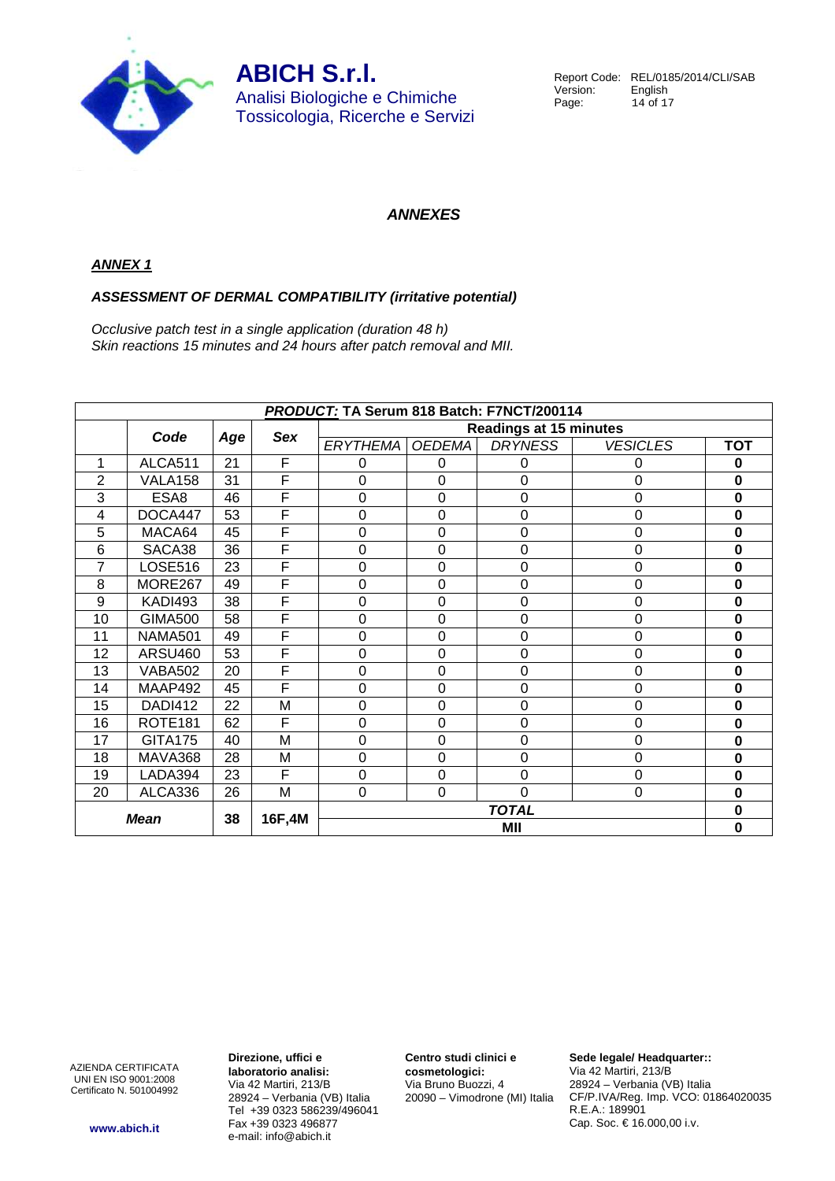

Report Code: REL/0185/2014/CLI/SAB<br>Version: English Version:<br>Page: 14 of 17

## **ANNEXES**

#### **ANNEX 1**

#### **ASSESSMENT OF DERMAL COMPATIBILITY (irritative potential)**

Occlusive patch test in a single application (duration 48 h) Skin reactions 15 minutes and 24 hours after patch removal and MII.

| PRODUCT: TA Serum 818 Batch: F7NCT/200114 |                     |     |     |                               |               |                  |                  |            |
|-------------------------------------------|---------------------|-----|-----|-------------------------------|---------------|------------------|------------------|------------|
|                                           |                     |     |     | <b>Readings at 15 minutes</b> |               |                  |                  |            |
|                                           | Code                | Age | Sex | <b>ERYTHEMA</b>               | <b>OEDEMA</b> | <b>DRYNESS</b>   | <b>VESICLES</b>  | <b>TOT</b> |
| 1                                         | ALCA511             | 21  | F   | $\mathbf 0$                   | 0             | 0                | 0                | 0          |
| $\overline{2}$                            | VALA <sub>158</sub> | 31  | F   | $\mathbf 0$                   | $\mathbf 0$   | $\boldsymbol{0}$ | $\mathbf 0$      | 0          |
| 3                                         | ESA8                | 46  | F   | $\mathbf 0$                   | $\mathbf 0$   | $\boldsymbol{0}$ | $\mathbf 0$      | 0          |
| 4                                         | DOCA447             | 53  | F   | 0                             | $\mathbf 0$   | $\boldsymbol{0}$ | $\boldsymbol{0}$ | 0          |
| 5                                         | MACA64              | 45  | F   | $\mathbf 0$                   | $\mathbf 0$   | $\boldsymbol{0}$ | $\mathbf 0$      | 0          |
| 6                                         | SACA38              | 36  | F   | $\mathbf 0$                   | $\mathbf 0$   | $\boldsymbol{0}$ | $\mathbf 0$      | 0          |
| 7                                         | <b>LOSE516</b>      | 23  | F   | 0                             | $\mathbf 0$   | $\boldsymbol{0}$ | $\mathbf 0$      | 0          |
| 8                                         | MORE267             | 49  | F   | 0                             | $\mathbf 0$   | $\boldsymbol{0}$ | $\mathbf 0$      | $\bf{0}$   |
| 9                                         | <b>KADI493</b>      | 38  | F   | $\Omega$                      | $\mathbf 0$   | $\boldsymbol{0}$ | $\mathbf 0$      | 0          |
| 10                                        | <b>GIMA500</b>      | 58  | F   | 0                             | 0             | $\boldsymbol{0}$ | $\mathbf 0$      | 0          |
| 11                                        | <b>NAMA501</b>      | 49  | F   | 0                             | 0             | $\mathbf 0$      | $\mathbf 0$      | 0          |
| 12                                        | ARSU460             | 53  | F   | 0                             | 0             | $\boldsymbol{0}$ | $\mathbf 0$      | 0          |
| 13                                        | VABA502             | 20  | F   | 0                             | $\mathbf 0$   | $\boldsymbol{0}$ | $\mathbf 0$      | 0          |
| 14                                        | MAAP492             | 45  | F   | $\Omega$                      | 0             | $\boldsymbol{0}$ | $\mathbf 0$      | 0          |
| 15                                        | DADI412             | 22  | M   | 0                             | 0             | 0                | $\mathbf 0$      | 0          |
| 16                                        | ROTE <sub>181</sub> | 62  | F   | 0                             | 0             | $\boldsymbol{0}$ | $\mathbf 0$      | 0          |
| 17                                        | <b>GITA175</b>      | 40  | M   | $\Omega$                      | 0             | 0                | $\mathbf 0$      | 0          |
| 18                                        | MAVA368             | 28  | M   | $\overline{0}$                | 0             | 0                | $\mathbf 0$      | 0          |
| 19                                        | LADA394             | 23  | F   | $\overline{0}$                | 0             | 0                | $\mathbf 0$      | 0          |
| 20                                        | ALCA336             | 26  | M   | $\mathbf 0$                   | $\mathbf 0$   | 0                | $\mathbf 0$      | 0          |
|                                           |                     |     |     | <b>TOTAL</b>                  |               |                  | 0                |            |
| 38<br><b>Mean</b><br>16F,4M               |                     |     |     |                               |               | МII              |                  | 0          |

AZIENDA CERTIFICATA UNI EN ISO 9001:2008 Certificato N. 501004992 **Direzione, uffici e laboratorio analisi:** Via 42 Martiri, 213/B 28924 – Verbania (VB) Italia Tel +39 0323 586239/496041 Fax +39 0323 496877 e-mail: info@abich.it

**Centro studi clinici e cosmetologici:** Via Bruno Buozzi, 4 20090 – Vimodrone (MI) Italia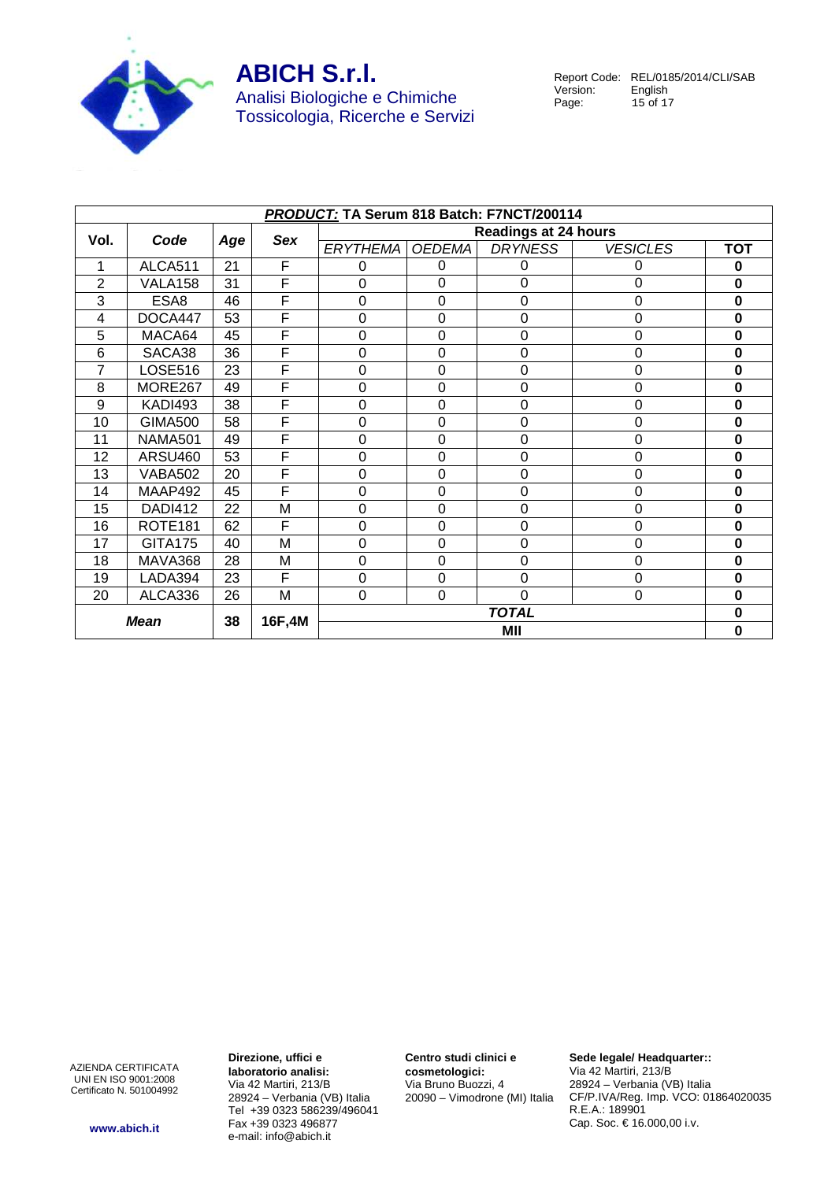

Report Code: REL/0185/2014/CLI/SAB<br>Version: English Version:<br>Page: 15 of 17

|                             | PRODUCT: TA Serum 818 Batch: F7NCT/200114 |     |              |                             |                |                |                 |             |
|-----------------------------|-------------------------------------------|-----|--------------|-----------------------------|----------------|----------------|-----------------|-------------|
| Vol.                        | Code                                      |     |              | <b>Readings at 24 hours</b> |                |                |                 |             |
|                             |                                           | Age | Sex          | <b>ERYTHEMA</b>             | <b>OEDEMA</b>  | <b>DRYNESS</b> | <b>VESICLES</b> | <b>TOT</b>  |
| 1                           | ALCA511                                   | 21  | F            | 0                           | 0              | 0              | 0               | 0           |
| $\overline{2}$              | VALA158                                   | 31  | F            | 0                           | 0              | 0              | 0               | $\mathbf 0$ |
| 3                           | ESA8                                      | 46  | F            | $\mathbf 0$                 | 0              | 0              | 0               | $\mathbf 0$ |
| 4                           | DOCA447                                   | 53  | F            | $\overline{0}$              | 0              | 0              | 0               | $\bf{0}$    |
| 5                           | MACA64                                    | 45  | F            | 0                           | 0              | $\mathbf 0$    | 0               | 0           |
| 6                           | SACA38                                    | 36  | F            | 0                           | 0              | 0              | 0               | $\bf{0}$    |
| $\overline{7}$              | <b>LOSE516</b>                            | 23  | F            | $\overline{0}$              | 0              | 0              | 0               | 0           |
| 8                           | MORE267                                   | 49  | F            | $\overline{0}$              | 0              | 0              | 0               | 0           |
| 9                           | <b>KADI493</b>                            | 38  | F            | 0                           | $\overline{0}$ | $\mathbf 0$    | 0               | $\bf{0}$    |
| 10                          | <b>GIMA500</b>                            | 58  | F            | 0                           | 0              | 0              | 0               | 0           |
| 11                          | <b>NAMA501</b>                            | 49  | F            | 0                           | $\mathbf 0$    | 0              | 0               | 0           |
| 12                          | ARSU460                                   | 53  | F            | $\Omega$                    | 0              | 0              | 0               | 0           |
| 13                          | <b>VABA502</b>                            | 20  | F            | 0                           | $\mathbf 0$    | 0              | 0               | 0           |
| 14                          | MAAP492                                   | 45  | F            | $\overline{0}$              | 0              | 0              | 0               | O           |
| 15                          | DADI412                                   | 22  | M            | $\overline{0}$              | $\mathbf 0$    | 0              | 0               | 0           |
| 16                          | ROTE <sub>181</sub>                       | 62  | F            | $\overline{0}$              | 0              | 0              | 0               | 0           |
| 17                          | <b>GITA175</b>                            | 40  | M            | $\overline{0}$              | $\overline{0}$ | 0              | $\overline{0}$  | 0           |
| 18                          | MAVA368                                   | 28  | M            | $\overline{0}$              | 0              | 0              | 0               | O           |
| 19                          | LADA394                                   | 23  | F            | 0                           | $\mathbf 0$    | 0              | 0               | $\bf{0}$    |
| 20                          | ALCA336                                   | 26  | M            | $\mathbf 0$                 | $\mathbf 0$    | 0              | 0               | 0           |
| <b>Mean</b><br>38<br>16F,4M |                                           |     | <b>TOTAL</b> |                             |                | 0              |                 |             |
|                             |                                           |     |              |                             |                | MII            |                 | 0           |

AZIENDA CERTIFICATA UNI EN ISO 9001:2008 Certificato N. 501004992 **Direzione, uffici e laboratorio analisi:** Via 42 Martiri, 213/B 28924 – Verbania (VB) Italia Tel +39 0323 586239/496041 Fax +39 0323 496877 e-mail: info@abich.it

**Centro studi clinici e cosmetologici:** Via Bruno Buozzi, 4 20090 – Vimodrone (MI) Italia **Sede legale/ Headquarter::** Via 42 Martiri, 213/B 28924 – Verbania (VB) Italia CF/P.IVA/Reg. Imp. VCO: 01864020035 R.E.A.: 189901 Cap. Soc. € 16.000,00 i.v.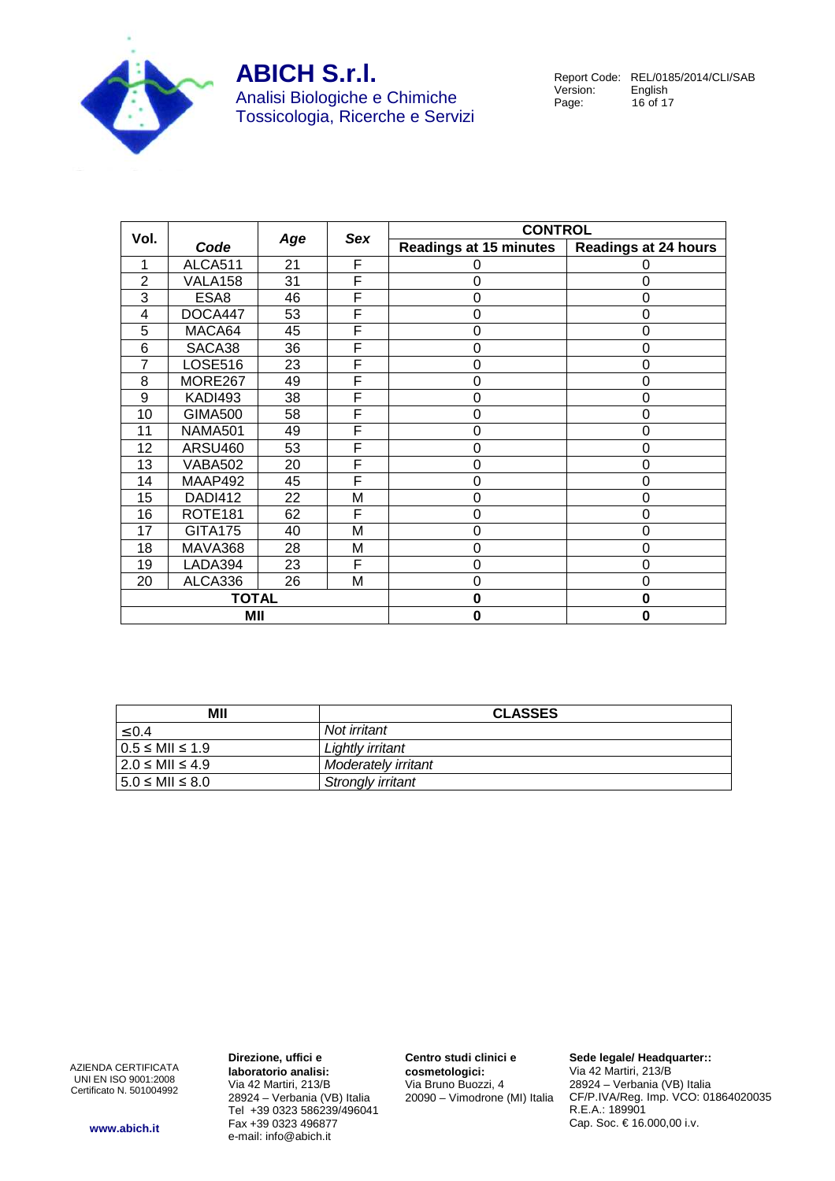

# **ABICH S.r.l.** Analisi Biologiche e Chimiche

Tossicologia, Ricerche e Servizi

Report Code: REL/0185/2014/CLI/SAB<br>Version: English Version:<br>Page: 16 of 17

| Vol.           |                     | Age | Sex | <b>CONTROL</b>                |                             |
|----------------|---------------------|-----|-----|-------------------------------|-----------------------------|
|                | Code                |     |     | <b>Readings at 15 minutes</b> | <b>Readings at 24 hours</b> |
| 1              | ALCA511             | 21  | F   |                               |                             |
| $\overline{2}$ | VALA158             | 31  | F   | 0                             | $\Omega$                    |
| 3              | ESA8                | 46  | F   | 0                             | 0                           |
| 4              | DOCA447             | 53  | F   | 0                             | $\Omega$                    |
| 5              | MACA64              | 45  | F   | 0                             | 0                           |
| 6              | SACA38              | 36  | F   | 0                             | $\Omega$                    |
| 7              | <b>LOSE516</b>      | 23  | F   | 0                             | $\Omega$                    |
| 8              | MORE267             | 49  | F   | 0                             |                             |
| 9              | KADI493             | 38  | F   | 0                             | 0                           |
| 10             | <b>GIMA500</b>      | 58  | F   | 0                             | 0                           |
| 11             | <b>NAMA501</b>      | 49  | F   | 0                             | 0                           |
| 12             | <b>ARSU460</b>      | 53  | F   | 0                             | ∩                           |
| 13             | <b>VABA502</b>      | 20  | F   | 0                             | $\Omega$                    |
| 14             | MAAP492             | 45  | F   | 0                             | 0                           |
| 15             | <b>DADI412</b>      | 22  | M   | 0                             | $\Omega$                    |
| 16             | ROTE <sub>181</sub> | 62  | F   | 0                             | $\Omega$                    |
| 17             | <b>GITA175</b>      | 40  | M   | 0                             | O                           |
| 18             | MAVA368             | 28  | M   | 0                             | 0                           |
| 19             | LADA394             | 23  | F   | 0                             | 0                           |
| 20             | ALCA336             | 26  | M   | 0                             | ∩                           |
| <b>TOTAL</b>   |                     |     |     | 0                             | $\bf{0}$                    |
| MII            |                     |     |     | 0                             | 0                           |

| МII                      | <b>CLASSES</b>      |
|--------------------------|---------------------|
| $\leq 0.4$               | Not irritant        |
| $0.5 \leq MII \leq 1.9$  | Lightly irritant    |
| $12.0 \leq MII \leq 4.9$ | Moderately irritant |
| $15.0 \leq MII \leq 8.0$ | Strongly irritant   |

AZIENDA CERTIFICATA UNI EN ISO 9001:2008 Certificato N. 501004992 **Direzione, uffici e laboratorio analisi:** Via 42 Martiri, 213/B 28924 – Verbania (VB) Italia Tel +39 0323 586239/496041 Fax +39 0323 496877 e-mail: info@abich.it

**Centro studi clinici e cosmetologici:** Via Bruno Buozzi, 4 20090 – Vimodrone (MI) Italia